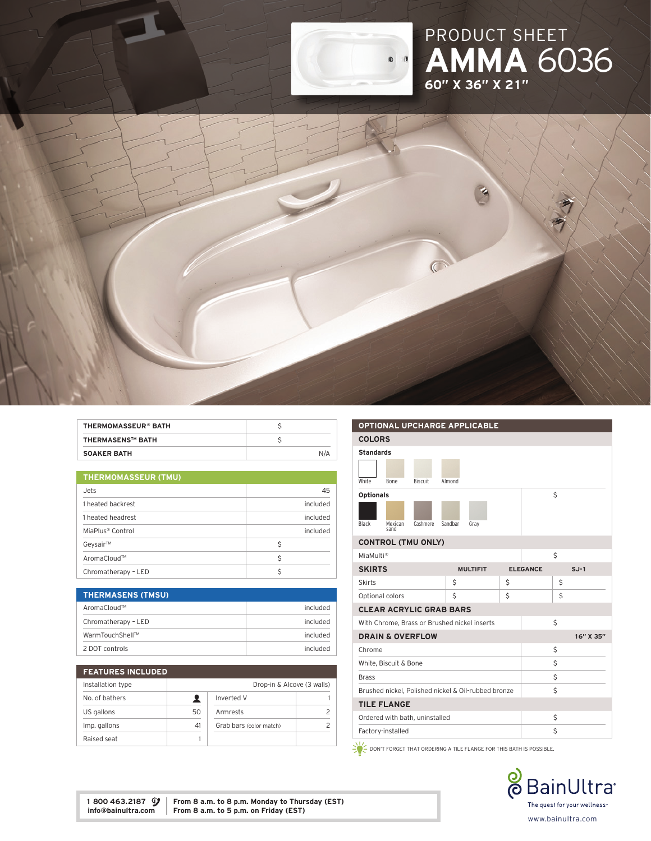

# PRODUCT SHE AMMA 6036 60" x 36" x 21"



| <b>SOAKER BATH</b>         | N/A |
|----------------------------|-----|
| <b>THERMASENS™ BATH</b>    |     |
| <b>THERMOMASSEUR® BATH</b> |     |

| <b>THERMOMASSEUR (TMU)</b>   |          |  |  |  |
|------------------------------|----------|--|--|--|
| Jets                         | 45       |  |  |  |
| 1 heated backrest            | included |  |  |  |
| 1 heated headrest            | included |  |  |  |
| MiaPlus <sup>®</sup> Control | included |  |  |  |
| Geysair™                     | \$       |  |  |  |
| AromaCloud™                  | Ŝ        |  |  |  |
| Chromatherapy - LED          | Ś        |  |  |  |

| <b>THERMASENS (TMSU)</b> |          |
|--------------------------|----------|
| AromaCloud™              | included |
| Chromatherapy - LED      | included |
| WarmTouchShell™          | included |
| 2 DOT controls           | included |

| <b>FEATURES INCLUDED</b> |                            |                         |  |
|--------------------------|----------------------------|-------------------------|--|
| Installation type        | Drop-in & Alcove (3 walls) |                         |  |
| No. of bathers           |                            | Inverted V              |  |
| US gallons               | 50                         | Armrests                |  |
| Imp. gallons             | 41                         | Grab bars (color match) |  |
| Raised seat              |                            |                         |  |

| <b>OPTIONAL UPCHARGE APPLICABLE</b>                 |                                |                |         |                 |    |                 |    |           |
|-----------------------------------------------------|--------------------------------|----------------|---------|-----------------|----|-----------------|----|-----------|
|                                                     | <b>COLORS</b>                  |                |         |                 |    |                 |    |           |
| <b>Standards</b>                                    |                                |                |         |                 |    |                 |    |           |
|                                                     |                                |                |         |                 |    |                 |    |           |
| White                                               | <b>Bone</b>                    | <b>Biscuit</b> | Almond  |                 |    |                 |    |           |
| <b>Optionals</b>                                    |                                |                |         |                 |    |                 | Ś  |           |
|                                                     |                                |                |         |                 |    |                 |    |           |
| Black                                               | Mexican<br>sand                | Cashmere       | Sandbar | Gray            |    |                 |    |           |
| <b>CONTROL (TMU ONLY)</b>                           |                                |                |         |                 |    |                 |    |           |
| MiaMulti <sup>®</sup>                               |                                |                |         |                 |    |                 | \$ |           |
| <b>SKIRTS</b>                                       |                                |                |         | <b>MULTIFIT</b> |    | <b>ELEGANCE</b> |    | $S.J-1$   |
| <b>Skirts</b>                                       |                                |                | \$      |                 | \$ |                 | \$ |           |
| Optional colors                                     |                                |                | Ś       |                 | Ś  |                 | Ś  |           |
|                                                     | <b>CLEAR ACRYLIC GRAB BARS</b> |                |         |                 |    |                 |    |           |
| With Chrome, Brass or Brushed nickel inserts        |                                |                |         |                 |    |                 | Ś  |           |
| <b>DRAIN &amp; OVERFLOW</b>                         |                                |                |         |                 |    |                 |    | 16" X 35" |
| Chrome                                              |                                |                |         |                 | \$ |                 |    |           |
| White, Biscuit & Bone                               |                                |                |         |                 |    | Ś               |    |           |
| <b>Brass</b>                                        |                                |                |         |                 |    | \$              |    |           |
| Brushed nickel, Polished nickel & Oil-rubbed bronze |                                |                |         | Ś               |    |                 |    |           |
| <b>TILE FLANGE</b>                                  |                                |                |         |                 |    |                 |    |           |
| Ordered with bath, uninstalled                      |                                |                |         |                 |    | \$              |    |           |
|                                                     | Factory-installed              |                |         |                 |    | \$              |    |           |
|                                                     |                                |                |         |                 |    |                 |    |           |

 $\geq$  DON'T FORGET THAT ORDERING A TILE FLANGE FOR THIS BATH IS POSSIBLE.



1 800 463.2187  $\mathcal{G}$  | From 8 a.m. to 8 p.m. Monday to Thursday (EST) info@bainultra.com | From 8 a.m. to 5 p.m. on Friday (EST)